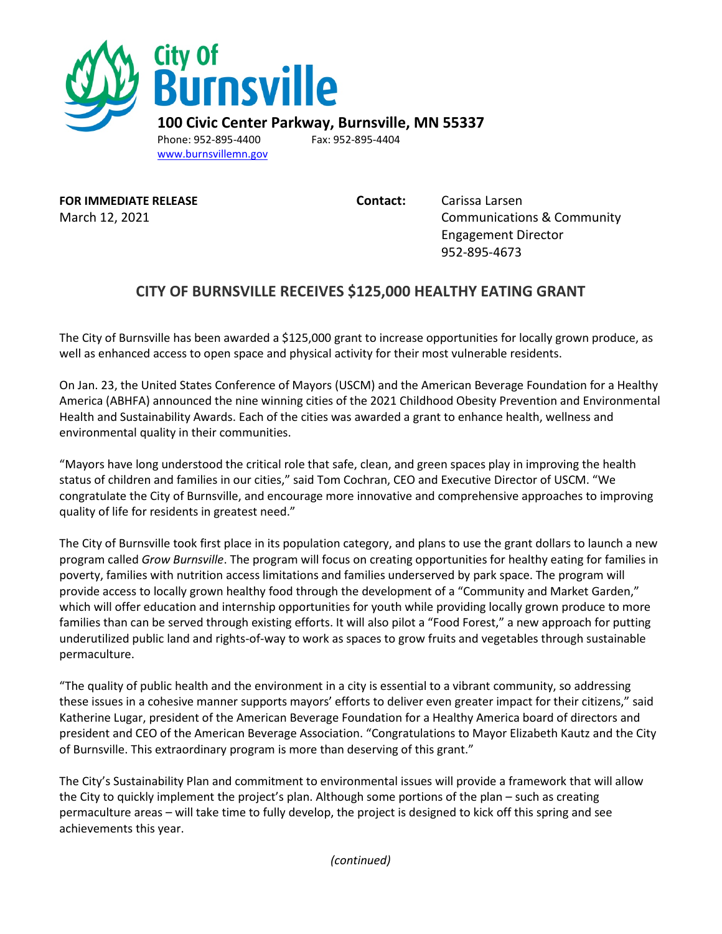

[www.burnsvillemn.gov](http://www.burnsvillemn.gov/) 

**FOR IMMEDIATE RELEASE Contact:** Carissa Larsen

March 12, 2021 **Communications & Community** Engagement Director 952-895-4673

## **CITY OF BURNSVILLE RECEIVES \$125,000 HEALTHY EATING GRANT**

The City of Burnsville has been awarded a \$125,000 grant to increase opportunities for locally grown produce, as well as enhanced access to open space and physical activity for their most vulnerable residents.

On Jan. 23, the United States Conference of Mayors (USCM) and the American Beverage Foundation for a Healthy America (ABHFA) announced the nine winning cities of the 2021 Childhood Obesity Prevention and Environmental Health and Sustainability Awards. Each of the cities was awarded a grant to enhance health, wellness and environmental quality in their communities.

"Mayors have long understood the critical role that safe, clean, and green spaces play in improving the health status of children and families in our cities," said Tom Cochran, CEO and Executive Director of USCM. "We congratulate the City of Burnsville, and encourage more innovative and comprehensive approaches to improving quality of life for residents in greatest need."

The City of Burnsville took first place in its population category, and plans to use the grant dollars to launch a new program called *Grow Burnsville*. The program will focus on creating opportunities for healthy eating for families in poverty, families with nutrition access limitations and families underserved by park space. The program will provide access to locally grown healthy food through the development of a "Community and Market Garden," which will offer education and internship opportunities for youth while providing locally grown produce to more families than can be served through existing efforts. It will also pilot a "Food Forest," a new approach for putting underutilized public land and rights-of-way to work as spaces to grow fruits and vegetables through sustainable permaculture.

"The quality of public health and the environment in a city is essential to a vibrant community, so addressing these issues in a cohesive manner supports mayors' efforts to deliver even greater impact for their citizens," said Katherine Lugar, president of the American Beverage Foundation for a Healthy America board of directors and president and CEO of the American Beverage Association. "Congratulations to Mayor Elizabeth Kautz and the City of Burnsville. This extraordinary program is more than deserving of this grant."

The City's Sustainability Plan and commitment to environmental issues will provide a framework that will allow the City to quickly implement the project's plan. Although some portions of the plan – such as creating permaculture areas – will take time to fully develop, the project is designed to kick off this spring and see achievements this year.

*(continued)*